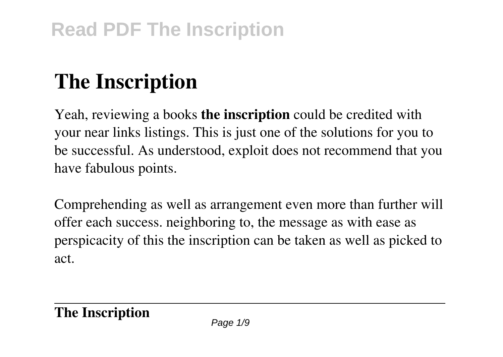# **The Inscription**

Yeah, reviewing a books **the inscription** could be credited with your near links listings. This is just one of the solutions for you to be successful. As understood, exploit does not recommend that you have fabulous points.

Comprehending as well as arrangement even more than further will offer each success. neighboring to, the message as with ease as perspicacity of this the inscription can be taken as well as picked to act.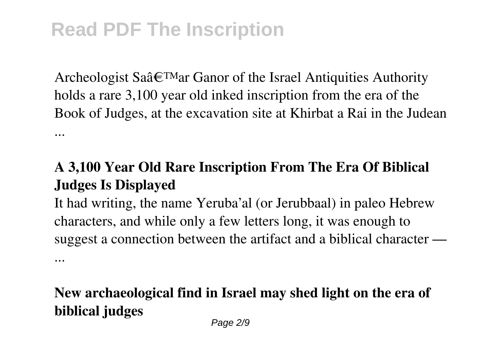...

Archeologist Sa $\hat{a} \in T^{M}$ ar Ganor of the Israel Antiquities Authority holds a rare 3,100 year old inked inscription from the era of the Book of Judges, at the excavation site at Khirbat a Rai in the Judean ...

### **A 3,100 Year Old Rare Inscription From The Era Of Biblical Judges Is Displayed**

It had writing, the name Yeruba'al (or Jerubbaal) in paleo Hebrew characters, and while only a few letters long, it was enough to suggest a connection between the artifact and a biblical character —

**New archaeological find in Israel may shed light on the era of biblical judges**

Page 2/9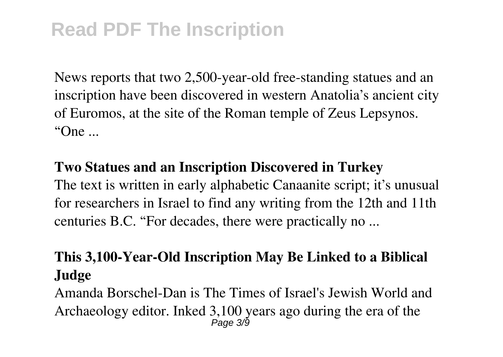News reports that two 2,500-year-old free-standing statues and an inscription have been discovered in western Anatolia's ancient city of Euromos, at the site of the Roman temple of Zeus Lepsynos. "One ...

#### **Two Statues and an Inscription Discovered in Turkey**

The text is written in early alphabetic Canaanite script; it's unusual for researchers in Israel to find any writing from the 12th and 11th centuries B.C. "For decades, there were practically no ...

### **This 3,100-Year-Old Inscription May Be Linked to a Biblical Judge**

Amanda Borschel-Dan is The Times of Israel's Jewish World and Archaeology editor. Inked 3,100 years ago during the era of the Page 3/9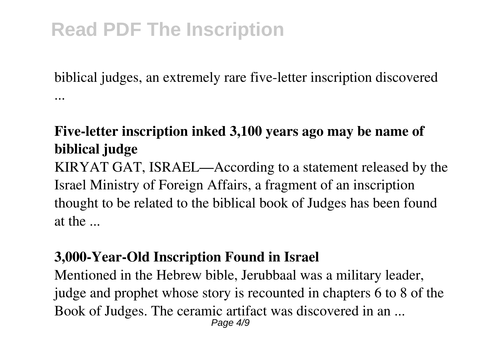biblical judges, an extremely rare five-letter inscription discovered ...

#### **Five-letter inscription inked 3,100 years ago may be name of biblical judge**

KIRYAT GAT, ISRAEL—According to a statement released by the Israel Ministry of Foreign Affairs, a fragment of an inscription thought to be related to the biblical book of Judges has been found at the ...

#### **3,000-Year-Old Inscription Found in Israel**

Mentioned in the Hebrew bible, Jerubbaal was a military leader, judge and prophet whose story is recounted in chapters 6 to 8 of the Book of Judges. The ceramic artifact was discovered in an ... Page 4/9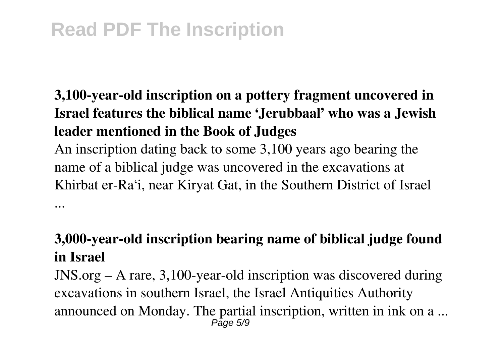...

## **3,100-year-old inscription on a pottery fragment uncovered in Israel features the biblical name 'Jerubbaal' who was a Jewish leader mentioned in the Book of Judges**

An inscription dating back to some 3,100 years ago bearing the name of a biblical judge was uncovered in the excavations at Khirbat er-Ra'i, near Kiryat Gat, in the Southern District of Israel

#### **3,000-year-old inscription bearing name of biblical judge found in Israel**

JNS.org – A rare, 3,100-year-old inscription was discovered during excavations in southern Israel, the Israel Antiquities Authority announced on Monday. The partial inscription, written in ink on a ... Page 5/9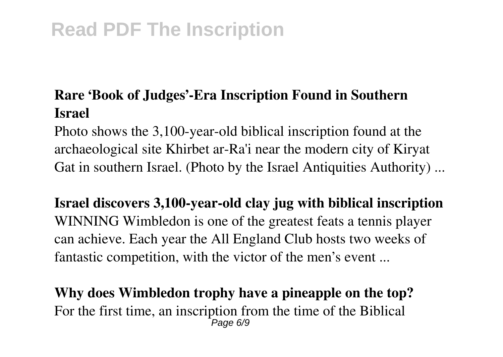#### **Rare 'Book of Judges'-Era Inscription Found in Southern Israel**

Photo shows the 3,100-year-old biblical inscription found at the archaeological site Khirbet ar-Ra'i near the modern city of Kiryat Gat in southern Israel. (Photo by the Israel Antiquities Authority) ...

**Israel discovers 3,100-year-old clay jug with biblical inscription** WINNING Wimbledon is one of the greatest feats a tennis player can achieve. Each year the All England Club hosts two weeks of fantastic competition, with the victor of the men's event ...

**Why does Wimbledon trophy have a pineapple on the top?** For the first time, an inscription from the time of the Biblical Page 6/9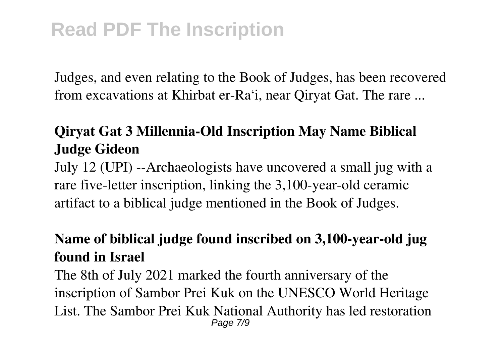Judges, and even relating to the Book of Judges, has been recovered from excavations at Khirbat er-Ra'i, near Qiryat Gat. The rare ...

### **Qiryat Gat 3 Millennia-Old Inscription May Name Biblical Judge Gideon**

July 12 (UPI) --Archaeologists have uncovered a small jug with a rare five-letter inscription, linking the 3,100-year-old ceramic artifact to a biblical judge mentioned in the Book of Judges.

#### **Name of biblical judge found inscribed on 3,100-year-old jug found in Israel**

The 8th of July 2021 marked the fourth anniversary of the inscription of Sambor Prei Kuk on the UNESCO World Heritage List. The Sambor Prei Kuk National Authority has led restoration Page 7/9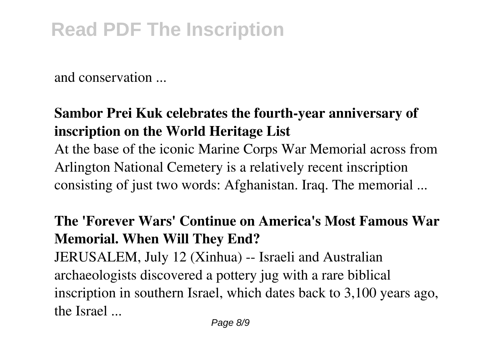and conservation ...

### **Sambor Prei Kuk celebrates the fourth-year anniversary of inscription on the World Heritage List**

At the base of the iconic Marine Corps War Memorial across from Arlington National Cemetery is a relatively recent inscription consisting of just two words: Afghanistan. Iraq. The memorial ...

### **The 'Forever Wars' Continue on America's Most Famous War Memorial. When Will They End?**

JERUSALEM, July 12 (Xinhua) -- Israeli and Australian archaeologists discovered a pottery jug with a rare biblical inscription in southern Israel, which dates back to 3,100 years ago, the Israel ...